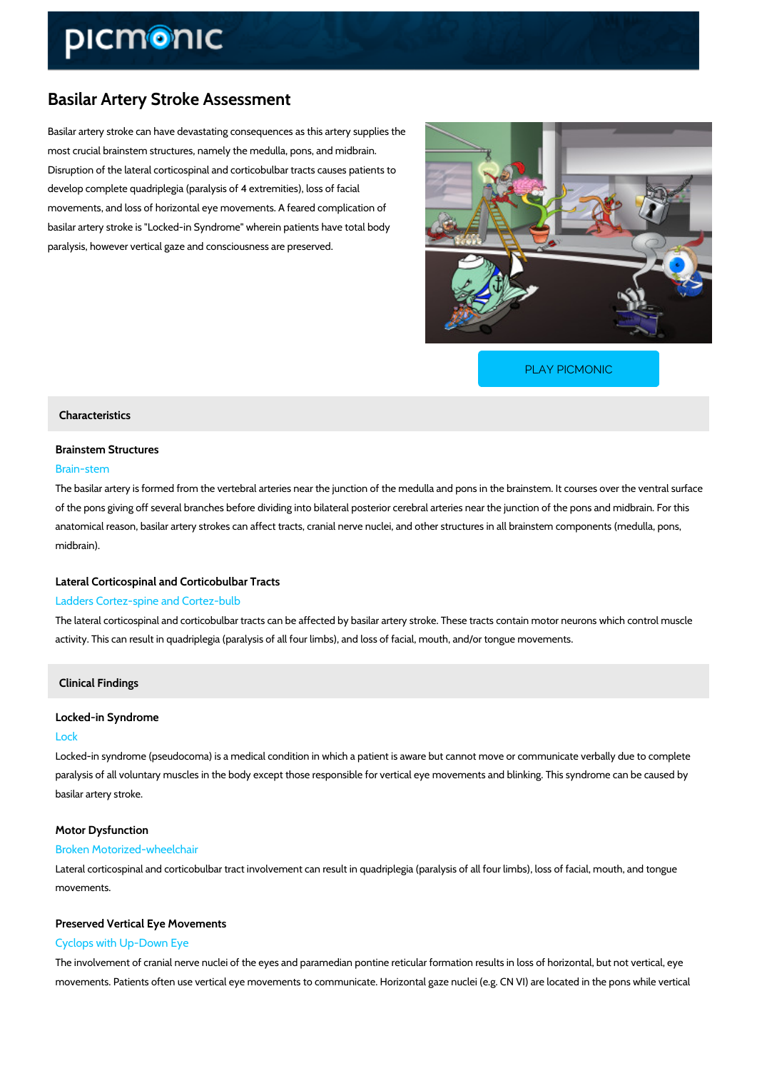# Basilar Artery Stroke Assessment

Basilar artery stroke can have devastating consequences as this artery supplies the most crucial brainstem structures, namely the medulla, pons, and midbrain. Disruption of the lateral corticospinal and corticobulbar tracts causes patients to develop complete quadriplegia (paralysis of 4 extremities), loss of facial movements, and loss of horizontal eye movements. A feared complication of basilar artery stroke is "Locked-in Syndrome" wherein patients have total body paralysis, however vertical gaze and consciousness are preserved.

[PLAY PICMONIC](https://www.picmonic.com/learn/basilar-artery-stroke_50121?utm_source=downloadable_content&utm_medium=distributedcontent&utm_campaign=pathways_pdf&utm_content=Basilar Artery Stroke Assessment&utm_ad_group=leads&utm_market=all)

## Characteristics

# Brainstem Structures

### Brain-stem

The basilar artery is formed from the vertebral arteries near the junction of the medulla and p of the pons giving off several branches before dividing into bilateral posterior cerebral arteri anatomical reason, basilar artery strokes can affect tracts, cranial nerve nuclei, and other sti midbrain).

## Lateral Corticospinal and Corticobulbar Tracts Ladders Cortez-spine and Cortez-bulb

The lateral corticospinal and corticobulbar tracts can be affected by basilar artery stroke. Th activity. This can result in quadriplegia (paralysis of all four limbs), and loss of facial, mouth

## Clinical Findings

## Locked-in Syndrome

#### Lock

Locked-in syndrome (pseudocoma) is a medical condition in which a patient is aware but cann paralysis of all voluntary muscles in the body except those responsible for vertical eye moven basilar artery stroke.

#### Motor Dysfunction

#### Broken Motorized-wheelchair

Lateral corticospinal and corticobulbar tract involvement can result in quadriplegia (paralysis movements.

# Preserved Vertical Eye Movements

Cyclops with Up-Down Eye

The involvement of cranial nerve nuclei of the eyes and paramedian pontine reticular formatio movements. Patients often use vertical eye movements to communicate. Horizontal gaze nucle